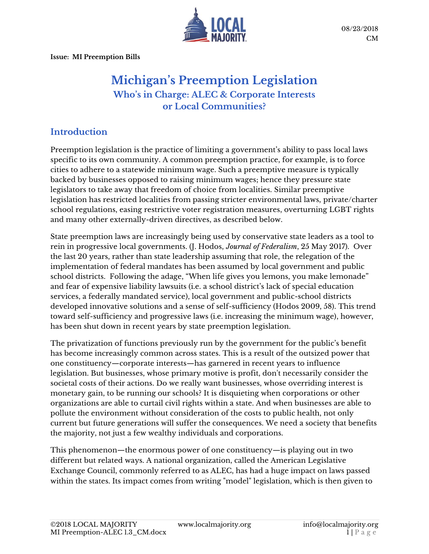

**Issue: MI Preemption Bills**

# **Michigan's Preemption Legislation Who's in Charge: ALEC & Corporate Interests or Local Communities?**

### **Introduction**

Preemption legislation is the practice of limiting a government's ability to pass local laws specific to its own community. A common preemption practice, for example, is to force cities to adhere to a statewide minimum wage. Such a preemptive measure is typically backed by businesses opposed to raising minimum wages; hence they pressure state legislators to take away that freedom of choice from localities. Similar preemptive legislation has restricted localities from passing stricter environmental laws, private/charter school regulations, easing restrictive voter registration measures, overturning LGBT rights and many other externally-driven directives, as described below.

State preemption laws are increasingly being used by conservative state leaders as a tool to rein in progressive local governments. (J. Hodos, *Journal of Federalism*, 25 May 2017). Over the last 20 years, rather than state leadership assuming that role, the relegation of the implementation of federal mandates has been assumed by local government and public school districts. Following the adage, "When life gives you lemons, you make lemonade" and fear of expensive liability lawsuits (i.e. a school district's lack of special education services, a federally mandated service), local government and public-school districts developed innovative solutions and a sense of self-sufficiency (Hodos 2009, 58). This trend toward self-sufficiency and progressive laws (i.e. increasing the minimum wage), however, has been shut down in recent years by state preemption legislation.

The privatization of functions previously run by the government for the public's benefit has become increasingly common across states. This is a result of the outsized power that one constituency—corporate interests—has garnered in recent years to influence legislation. But businesses, whose primary motive is profit, don't necessarily consider the societal costs of their actions. Do we really want businesses, whose overriding interest is monetary gain, to be running our schools? It is disquieting when corporations or other organizations are able to curtail civil rights within a state. And when businesses are able to pollute the environment without consideration of the costs to public health, not only current but future generations will suffer the consequences. We need a society that benefits the majority, not just a few wealthy individuals and corporations.

This phenomenon—the enormous power of one constituency—is playing out in two different but related ways. A national organization, called the American Legislative Exchange Council, commonly referred to as ALEC, has had a huge impact on laws passed within the states. Its impact comes from writing "model" legislation, which is then given to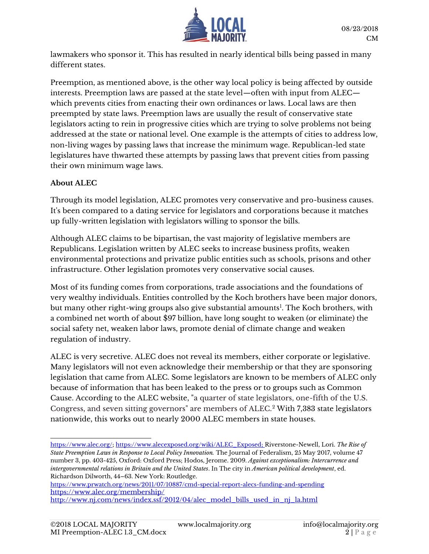

lawmakers who sponsor it. This has resulted in nearly identical bills being passed in many different states.

Preemption, as mentioned above, is the other way local policy is being affected by outside interests. Preemption laws are passed at the state level—often with input from ALEC which prevents cities from enacting their own ordinances or laws. Local laws are then preempted by state laws. Preemption laws are usually the result of conservative state legislators acting to rein in progressive cities which are trying to solve problems not being addressed at the state or national level. One example is the attempts of cities to address low, non-living wages by passing laws that increase the minimum wage. Republican-led state legislatures have thwarted these attempts by passing laws that prevent cities from passing their own minimum wage laws.

### **About ALEC**

Through its model legislation, ALEC promotes very conservative and pro-business causes. It's been compared to a dating service for legislators and corporations because it matches up fully-written legislation with legislators willing to sponsor the bills.

Although ALEC claims to be bipartisan, the vast majority of legislative members are Republicans. Legislation written by ALEC seeks to increase business profits, weaken environmental protections and privatize public entities such as schools, prisons and other infrastructure. Other legislation promotes very conservative social causes.

Most of its funding comes from corporations, trade associations and the foundations of very wealthy individuals. Entities controlled by the Koch brothers have been major donors, but many other right-wing groups also give substantial amounts<sup>1</sup>. The Koch brothers, with a combined net worth of about \$97 billion, have long sought to weaken (or eliminate) the social safety net, weaken labor laws, promote denial of climate change and weaken regulation of industry.

ALEC is very secretive. ALEC does not reveal its members, either corporate or legislative. Many legislators will not even acknowledge their membership or that they are sponsoring legislation that came from ALEC. Some legislators are known to be members of ALEC only because of information that has been leaked to the press or to groups such as Common Cause. According to the ALEC website, "a quarter of state legislators, one-fifth of the U.S. Congress, and seven sitting governors" are members of ALEC.<sup>2</sup> With 7,383 state legislators nationwide, this works out to nearly 2000 ALEC members in state houses.

<https://www.prwatch.org/news/2011/07/10887/cmd-special-report-alecs-funding-and-spending> <https://www.alec.org/membership/> [http://www.nj.com/news/index.ssf/2012/04/alec\\_model\\_bills\\_used\\_in\\_nj\\_la.html](http://www.nj.com/news/index.ssf/2012/04/alec_model_bills_used_in_nj_la.html)

j [https://www.alec.org/;](https://www.alec.org/) [https://www.alecexposed.org/wiki/ALEC\\_Exposed;](https://www.alecexposed.org/wiki/ALEC_Exposed) Riverstone-Newell, Lori. *The Rise of State Preemption Laws in Response to Local Policy Innovation.* The Journal of Federalism, 25 May 2017, volume 47 number 3, pp. 403-425, Oxford: Oxford Press; Hodos, Jerome. 2009. *Against exceptionalism: Intercurrence and intergovernmental relations in Britain and the United States*. In The city in *American political development*, ed. Richardson Dilworth, 44–63. New York: Routledge.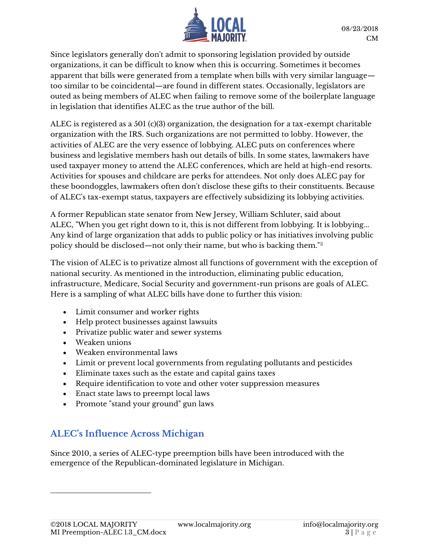

Since legislators generally don't admit to sponsoring legislation provided by outside organizations, it can be difficult to know when this is occurring. Sometimes it becomes apparent that bills were generated from a template when bills with very similar language too similar to be coincidental—are found in different states. Occasionally, legislators are outed as being members of ALEC when failing to remove some of the boilerplate language in legislation that identifies ALEC as the true author of the bill.

ALEC is registered as a 501 (c)(3) organization, the designation for a tax-exempt charitable organization with the IRS. Such organizations are not permitted to lobby. However, the activities of ALEC are the very essence of lobbying. ALEC puts on conferences where business and legislative members hash out details of bills. In some states, lawmakers have used taxpayer money to attend the ALEC conferences, which are held at high-end resorts. Activities for spouses and childcare are perks for attendees. Not only does ALEC pay for these boondoggles, lawmakers often don't disclose these gifts to their constituents. Because of ALEC's tax-exempt status, taxpayers are effectively subsidizing its lobbying activities.

A former Republican state senator from New Jersey, William Schluter, said about ALEC, "When you get right down to it, this is not different from lobbying. It is lobbying... Any kind of large organization that adds to public policy or has initiatives involving public policy should be disclosed—not only their name, but who is backing them."<sup>3</sup>

The vision of ALEC is to privatize almost all functions of government with the exception of national security. As mentioned in the introduction, eliminating public education, infrastructure, Medicare, Social Security and government-run prisons are goals of ALEC. Here is a sampling of what ALEC bills have done to further this vision:

- Limit consumer and worker rights
- Help protect businesses against lawsuits
- Privatize public water and sewer systems
- Weaken unions
- Weaken environmental laws
- Limit or prevent local governments from regulating pollutants and pesticides
- Eliminate taxes such as the estate and capital gains taxes
- Require identification to vote and other voter suppression measures
- Enact state laws to preempt local laws
- Promote "stand your ground" gun laws

### **ALEC's Influence Across Michigan**

Since 2010, a series of ALEC-type preemption bills have been introduced with the emergence of the Republican-dominated legislature in Michigan.

 $\overline{a}$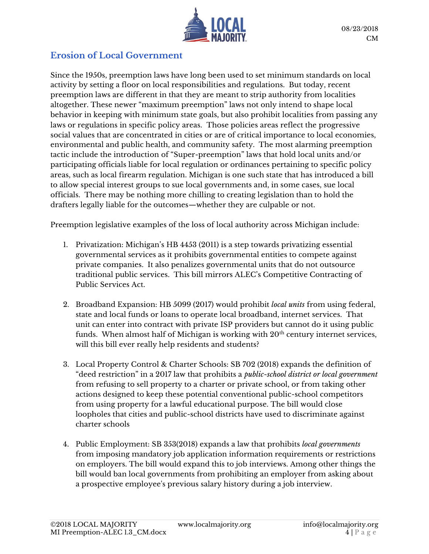

### **Erosion of Local Government**

Since the 1950s, preemption laws have long been used to set minimum standards on local activity by setting a floor on local responsibilities and regulations. But today, recent preemption laws are different in that they are meant to strip authority from localities altogether. These newer "maximum preemption" laws not only intend to shape local behavior in keeping with minimum state goals, but also prohibit localities from passing any laws or regulations in specific policy areas. Those policies areas reflect the progressive social values that are concentrated in cities or are of critical importance to local economies, environmental and public health, and community safety. The most alarming preemption tactic include the introduction of "Super-preemption" laws that hold local units and/or participating officials liable for local regulation or ordinances pertaining to specific policy areas, such as local firearm regulation. Michigan is one such state that has introduced a bill to allow special interest groups to sue local governments and, in some cases, sue local officials. There may be nothing more chilling to creating legislation than to hold the drafters legally liable for the outcomes—whether they are culpable or not.

Preemption legislative examples of the loss of local authority across Michigan include:

- 1. Privatization: Michigan's HB 4453 (2011) is a step towards privatizing essential governmental services as it prohibits governmental entities to compete against private companies. It also penalizes governmental units that do not outsource traditional public services. This bill mirrors ALEC's Competitive Contracting of Public Services Act.
- 2. Broadband Expansion: HB 5099 (2017) would prohibit *local units* from using federal, state and local funds or loans to operate local broadband, internet services. That unit can enter into contract with private ISP providers but cannot do it using public funds. When almost half of Michigan is working with  $20<sup>th</sup>$  century internet services, will this bill ever really help residents and students?
- 3. Local Property Control & Charter Schools: SB 702 (2018) expands the definition of "deed restriction" in a 2017 law that prohibits a *public-school district or local government* from refusing to sell property to a charter or private school, or from taking other actions designed to keep these potential conventional public-school competitors from using property for a lawful educational purpose. The bill would close loopholes that cities and public-school districts have used to discriminate against charter schools
- 4. Public Employment: SB 353(2018) expands a law that prohibits *local governments* from imposing mandatory job application information requirements or restrictions on employers. The bill would expand this to job interviews. Among other things the bill would ban local governments from prohibiting an employer from asking about a prospective employee's previous salary history during a job interview.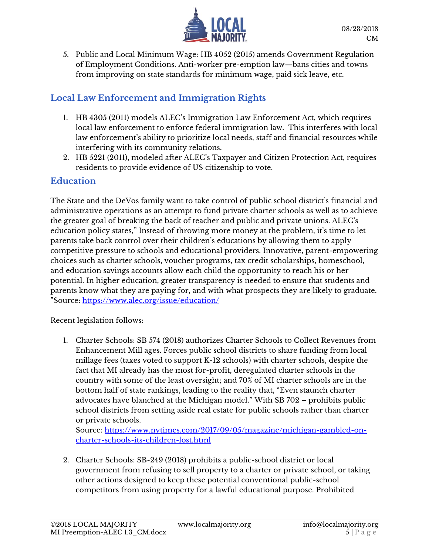

5. Public and Local Minimum Wage: HB 4052 (2015) amends Government Regulation of Employment Conditions. Anti-worker pre-emption law—bans cities and towns from improving on state standards for minimum wage, paid sick leave, etc.

# **Local Law Enforcement and Immigration Rights**

- 1. HB 4305 (2011) models ALEC's Immigration Law Enforcement Act, which requires local law enforcement to enforce federal immigration law. This interferes with local law enforcement's ability to prioritize local needs, staff and financial resources while interfering with its community relations.
- 2. HB 5221 (2011), modeled after ALEC's Taxpayer and Citizen Protection Act, requires residents to provide evidence of US citizenship to vote.

### **Education**

The State and the DeVos family want to take control of public school district's financial and administrative operations as an attempt to fund private charter schools as well as to achieve the greater goal of breaking the back of teacher and public and private unions. ALEC's education policy states," Instead of throwing more money at the problem, it's time to let parents take back control over their children's educations by allowing them to apply competitive pressure to schools and educational providers. Innovative, parent-empowering choices such as charter schools, voucher programs, tax credit scholarships, homeschool, and education savings accounts allow each child the opportunity to reach his or her potential. In higher education, greater transparency is needed to ensure that students and parents know what they are paying for, and with what prospects they are likely to graduate. "Source:<https://www.alec.org/issue/education/>

### Recent legislation follows:

1. Charter Schools: SB 574 (2018) authorizes Charter Schools to Collect Revenues from Enhancement Mill ages. Forces public school districts to share funding from local millage fees (taxes voted to support K-12 schools) with charter schools, despite the fact that MI already has the most for-profit, deregulated charter schools in the country with some of the least oversight; and 70% of MI charter schools are in the bottom half of state rankings, leading to the reality that, "Even staunch charter advocates have blanched at the Michigan model." With SB 702 – prohibits public school districts from setting aside real estate for public schools rather than charter or private schools.

Source: [https://www.nytimes.com/2017/09/05/magazine/michigan-gambled-on](https://www.nytimes.com/2017/09/05/magazine/michigan-gambled-on-charter-schools-its-children-lost.html)[charter-schools-its-children-lost.html](https://www.nytimes.com/2017/09/05/magazine/michigan-gambled-on-charter-schools-its-children-lost.html)

2. Charter Schools: SB-249 (2018) prohibits a public-school district or local government from refusing to sell property to a charter or private school, or taking other actions designed to keep these potential conventional public-school competitors from using property for a lawful educational purpose. Prohibited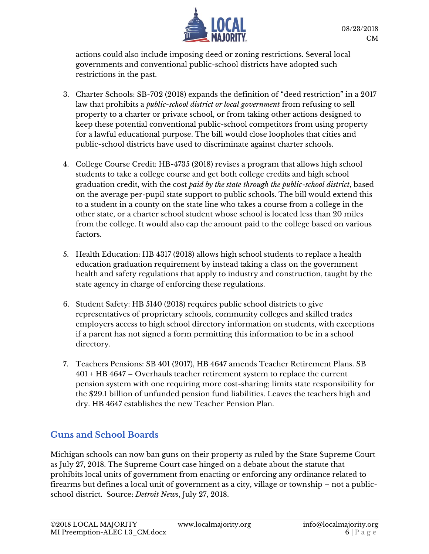

actions could also include imposing deed or zoning restrictions. Several local governments and conventional public-school districts have adopted such restrictions in the past.

- 3. Charter Schools: SB-702 (2018) expands the definition of "deed restriction" in a 2017 law that prohibits a *public-school district or local government* from refusing to sell property to a charter or private school, or from taking other actions designed to keep these potential conventional public-school competitors from using property for a lawful educational purpose. The bill would close loopholes that cities and public-school districts have used to discriminate against charter schools.
- 4. College Course Credit: HB-4735 (2018) revises a program that allows high school students to take a college course and get both college credits and high school graduation credit, with the cost *paid by the state through the public-school district*, based on the average per-pupil state support to public schools. The bill would extend this to a student in a county on the state line who takes a course from a college in the other state, or a charter school student whose school is located less than 20 miles from the college. It would also cap the amount paid to the college based on various factors.
- 5. Health Education: HB 4317 (2018) allows high school students to replace a health education graduation requirement by instead taking a class on the government health and safety regulations that apply to industry and construction, taught by the state agency in charge of enforcing these regulations.
- 6. Student Safety: HB 5140 (2018) requires public school districts to give representatives of proprietary schools, community colleges and skilled trades employers access to high school directory information on students, with exceptions if a parent has not signed a form permitting this information to be in a school directory.
- 7. Teachers Pensions: SB 401 (2017), HB 4647 amends Teacher Retirement Plans. SB 401 + HB 4647 – Overhauls teacher retirement system to replace the current pension system with one requiring more cost-sharing; limits state responsibility for the \$29.1 billion of unfunded pension fund liabilities. Leaves the teachers high and dry. HB 4647 establishes the new Teacher Pension Plan.

### **Guns and School Boards**

Michigan schools can now ban guns on their property as ruled by the State Supreme Court as July 27, 2018. The Supreme Court case hinged on a debate about the statute that prohibits local units of government from enacting or enforcing any ordinance related to firearms but defines a local unit of government as a city, village or township – not a publicschool district. Source: *Detroit News*, July 27, 2018.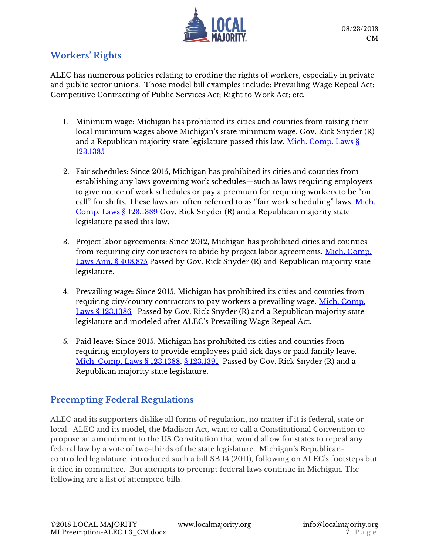

# **Workers' Rights**

ALEC has numerous policies relating to eroding the rights of workers, especially in private and public sector unions. Those model bill examples include: Prevailing Wage Repeal Act; Competitive Contracting of Public Services Act; Right to Work Act; etc.

- 1. Minimum wage: Michigan has prohibited its cities and counties from raising their local minimum wages above Michigan's state minimum wage. Gov. Rick Snyder (R) and a Republican majority state legislature passed this law. Mich. Comp. Laws § [123.1385](http://www.legislature.mi.gov/(S(kigilfngqdeknxhhasz0qi0t))/mileg.aspx?page=getobject&objectname=mcl-123-1385)
- 2. Fair schedules: Since 2015, Michigan has prohibited its cities and counties from establishing any laws governing work schedules—such as laws requiring employers to give notice of work schedules or pay a premium for requiring workers to be "on call" for shifts. These laws are often referred to as "fair work scheduling" laws. [Mich.](http://www.legislature.mi.gov/(S(kigilfngqdeknxhhasz0qi0t))/mileg.aspx?page=getobject&objectname=mcl-123-1389)  [Comp. Laws § 123.1389](http://www.legislature.mi.gov/(S(kigilfngqdeknxhhasz0qi0t))/mileg.aspx?page=getobject&objectname=mcl-123-1389) Gov. Rick Snyder (R) and a Republican majority state legislature passed this law.
- 3. Project labor agreements: Since 2012, Michigan has prohibited cities and counties from requiring city contractors to abide by project labor agreements. [Mich. Comp.](http://www.legislature.mi.gov/documents/2011-2012/billenrolled/Senate/pdf/2012-SNB-1085.pdf)  [Laws Ann. § 408.875](http://www.legislature.mi.gov/documents/2011-2012/billenrolled/Senate/pdf/2012-SNB-1085.pdf) Passed by Gov. Rick Snyder (R) and Republican majority state legislature.
- 4. Prevailing wage: Since 2015, Michigan has prohibited its cities and counties from requiring city/county contractors to pay workers a prevailing wage. [Mich. Comp.](http://www.legislature.mi.gov/(S(kigilfngqdeknxhhasz0qi0t))/mileg.aspx?page=getobject&objectname=mcl-123-1386)  [Laws § 123.1386](http://www.legislature.mi.gov/(S(kigilfngqdeknxhhasz0qi0t))/mileg.aspx?page=getobject&objectname=mcl-123-1386) Passed by Gov. Rick Snyder (R) and a Republican majority state legislature and modeled after ALEC's Prevailing Wage Repeal Act.
- 5. Paid leave: Since 2015, Michigan has prohibited its cities and counties from requiring employers to provide employees paid sick days or paid family leave. [Mich. Comp. Laws § 123.1388,](http://www.legislature.mi.gov/(S(kigilfngqdeknxhhasz0qi0t))/mileg.aspx?page=getobject&objectname=mcl-123-1388) [§ 123.1391](http://www.legislature.mi.gov/(S(kigilfngqdeknxhhasz0qi0t))/mileg.aspx?page=getobject&objectname=mcl-123-1391) Passed by Gov. Rick Snyder (R) and a Republican majority state legislature.

### **Preempting Federal Regulations**

ALEC and its supporters dislike all forms of regulation, no matter if it is federal, state or local. ALEC and its model, the Madison Act, want to call a Constitutional Convention to propose an amendment to the US Constitution that would allow for states to repeal any federal law by a vote of two-thirds of the state legislature. Michigan's Republicancontrolled legislature introduced such a bill SB 14 (2011), following on ALEC's footsteps but it died in committee. But attempts to preempt federal laws continue in Michigan. The following are a list of attempted bills: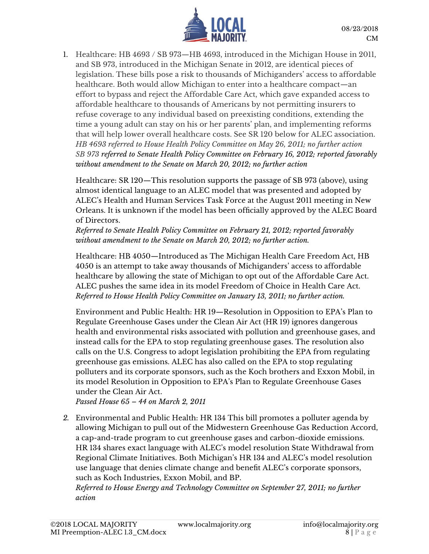

1. Healthcare: HB 4693 / SB 973—HB 4693, introduced in the Michigan House in 2011, and SB 973, introduced in the Michigan Senate in 2012, are identical pieces of legislation. These bills pose a risk to thousands of Michiganders' access to affordable healthcare. Both would allow Michigan to enter into a healthcare compact—an effort to bypass and reject the Affordable Care Act, which gave expanded access to affordable healthcare to thousands of Americans by not permitting insurers to refuse coverage to any individual based on preexisting conditions, extending the time a young adult can stay on his or her parents' plan, and implementing reforms that will help lower overall healthcare costs. See SR 120 below for ALEC association. *HB 4693 referred to House Health Policy Committee on May 26, 2011; no further action SB 973 referred to Senate Health Policy Committee on February 16, 2012; reported favorably without amendment to the Senate on March 20, 2012; no further action*

Healthcare: SR 120—This resolution supports the passage of SB 973 (above), using almost identical language to an ALEC model that was presented and adopted by ALEC's Health and Human Services Task Force at the August 2011 meeting in New Orleans. It is unknown if the model has been officially approved by the ALEC Board of Directors.

*Referred to Senate Health Policy Committee on February 21, 2012; reported favorably without amendment to the Senate on March 20, 2012; no further action.*

Healthcare: HB 4050—Introduced as The Michigan Health Care Freedom Act, HB 4050 is an attempt to take away thousands of Michiganders' access to affordable healthcare by allowing the state of Michigan to opt out of the Affordable Care Act. ALEC pushes the same idea in its model Freedom of Choice in Health Care Act. *Referred to House Health Policy Committee on January 13, 2011; no further action.*

Environment and Public Health: HR 19—Resolution in Opposition to EPA's Plan to Regulate Greenhouse Gases under the Clean Air Act (HR 19) ignores dangerous health and environmental risks associated with pollution and greenhouse gases, and instead calls for the EPA to stop regulating greenhouse gases. The resolution also calls on the U.S. Congress to adopt legislation prohibiting the EPA from regulating greenhouse gas emissions. ALEC has also called on the EPA to stop regulating polluters and its corporate sponsors, such as the Koch brothers and Exxon Mobil, in its model Resolution in Opposition to EPA's Plan to Regulate Greenhouse Gases under the Clean Air Act.

*Passed House 65 – 44 on March 2, 2011*

*2.* Environmental and Public Health: HR 134 This bill promotes a polluter agenda by allowing Michigan to pull out of the Midwestern Greenhouse Gas Reduction Accord, a cap-and-trade program to cut greenhouse gases and carbon-dioxide emissions. HR 134 shares exact language with ALEC's model resolution State Withdrawal from Regional Climate Initiatives. Both Michigan's HR 134 and ALEC's model resolution use language that denies climate change and benefit ALEC's corporate sponsors, such as Koch Industries, Exxon Mobil, and BP.

*Referred to House Energy and Technology Committee on September 27, 2011; no further action*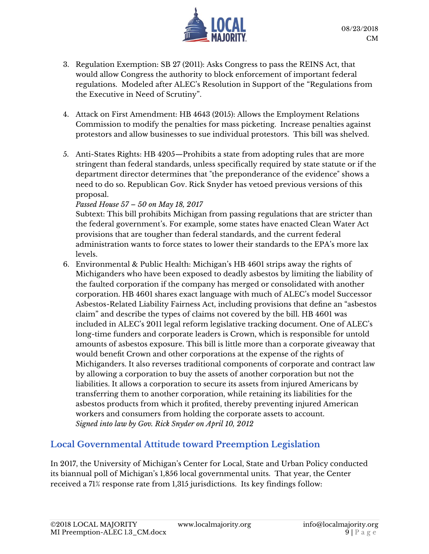

- 3. Regulation Exemption: SB 27 (2011): Asks Congress to pass the REINS Act, that would allow Congress the authority to block enforcement of important federal regulations. Modeled after ALEC's Resolution in Support of the "Regulations from the Executive in Need of Scrutiny".
- 4. Attack on First Amendment: HB 4643 (2015): Allows the Employment Relations Commission to modify the penalties for mass picketing. Increase penalties against protestors and allow businesses to sue individual protestors. This bill was shelved.
- 5. Anti-States Rights: HB 4205—Prohibits a state from adopting rules that are more stringent than federal standards, unless specifically required by state statute or if the department director determines that "the preponderance of the evidence" shows a need to do so. Republican Gov. Rick Snyder has vetoed previous versions of this proposal.

#### *Passed House 57 – 50 on May 18, 2017*

Subtext: This bill prohibits Michigan from passing regulations that are stricter than the federal government's. For example, some states have enacted Clean Water Act provisions that are tougher than federal standards, and the current federal administration wants to force states to lower their standards to the EPA's more lax levels.

6. Environmental & Public Health: Michigan's HB 4601 strips away the rights of Michiganders who have been exposed to deadly asbestos by limiting the liability of the faulted corporation if the company has merged or consolidated with another corporation. HB 4601 shares exact language with much of ALEC's model Successor Asbestos-Related Liability Fairness Act, including provisions that define an "asbestos claim" and describe the types of claims not covered by the bill. HB 4601 was included in ALEC's 2011 legal reform legislative tracking document. One of ALEC's long-time funders and corporate leaders is Crown, which is responsible for untold amounts of asbestos exposure. This bill is little more than a corporate giveaway that would benefit Crown and other corporations at the expense of the rights of Michiganders. It also reverses traditional components of corporate and contract law by allowing a corporation to buy the assets of another corporation but not the liabilities. It allows a corporation to secure its assets from injured Americans by transferring them to another corporation, while retaining its liabilities for the asbestos products from which it profited, thereby preventing injured American workers and consumers from holding the corporate assets to account. *Signed into law by Gov. Rick Snyder on April 10, 2012*

### **Local Governmental Attitude toward Preemption Legislation**

In 2017, the University of Michigan's Center for Local, State and Urban Policy conducted its biannual poll of Michigan's 1,856 local governmental units. That year, the Center received a 71% response rate from 1,315 jurisdictions. Its key findings follow: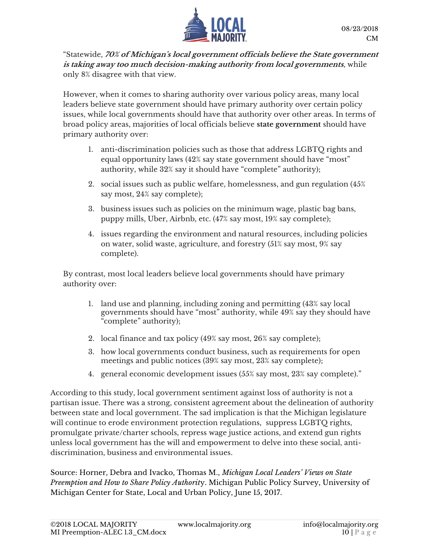

"Statewide, **70% of Michigan's local government officials believe the State government is taking away too much decision-making authority from local governments**, while only 8% disagree with that view.

However, when it comes to sharing authority over various policy areas, many local leaders believe state government should have primary authority over certain policy issues, while local governments should have that authority over other areas. In terms of broad policy areas, majorities of local officials believe **state government** should have primary authority over:

- 1. anti-discrimination policies such as those that address LGBTQ rights and equal opportunity laws (42% say state government should have "most" authority, while 32% say it should have "complete" authority);
- 2. social issues such as public welfare, homelessness, and gun regulation (45% say most, 24% say complete);
- 3. business issues such as policies on the minimum wage, plastic bag bans, puppy mills, Uber, Airbnb, etc. (47% say most, 19% say complete);
- 4. issues regarding the environment and natural resources, including policies on water, solid waste, agriculture, and forestry (51% say most, 9% say complete).

By contrast, most local leaders believe local governments should have primary authority over:

- 1. land use and planning, including zoning and permitting (43% say local governments should have "most" authority, while 49% say they should have "complete" authority);
- 2. local finance and tax policy (49% say most, 26% say complete);
- 3. how local governments conduct business, such as requirements for open meetings and public notices (39% say most, 23% say complete);
- 4. general economic development issues (55% say most, 23% say complete)."

According to this study, local government sentiment against loss of authority is not a partisan issue. There was a strong, consistent agreement about the delineation of authority between state and local government. The sad implication is that the Michigan legislature will continue to erode environment protection regulations, suppress LGBTQ rights, promulgate private/charter schools, repress wage justice actions, and extend gun rights unless local government has the will and empowerment to delve into these social, antidiscrimination, business and environmental issues.

Source: Horner, Debra and Ivacko, Thomas M., *Michigan Local Leaders' Views on State Preemption and How to Share Policy Authorit*y. Michigan Public Policy Survey, University of Michigan Center for State, Local and Urban Policy, June 15, 2017.